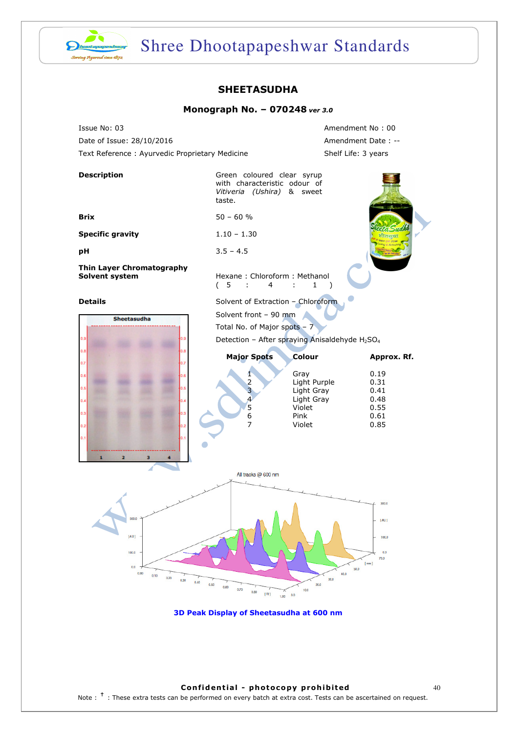

# Shree Dhootapapeshwar Standards

### SHEETASUDHA

#### Monograph No. – 070248 ver 3.0

Issue No: 03 Amendment No : 00 Date of Issue: 28/10/2016 Amendment Date : --Text Reference : Ayurvedic Proprietary Medicine Shelf Life: 3 years

| taste.                                             |                                      |                                                                                                                                                                                                                                                                                                                                                |  |
|----------------------------------------------------|--------------------------------------|------------------------------------------------------------------------------------------------------------------------------------------------------------------------------------------------------------------------------------------------------------------------------------------------------------------------------------------------|--|
| $50 - 60 %$                                        |                                      |                                                                                                                                                                                                                                                                                                                                                |  |
| $1.10 - 1.30$                                      |                                      |                                                                                                                                                                                                                                                                                                                                                |  |
| $3.5 - 4.5$                                        |                                      |                                                                                                                                                                                                                                                                                                                                                |  |
| (5)<br>4<br>÷                                      | 1<br>$\lambda$<br>÷                  |                                                                                                                                                                                                                                                                                                                                                |  |
|                                                    |                                      |                                                                                                                                                                                                                                                                                                                                                |  |
|                                                    |                                      |                                                                                                                                                                                                                                                                                                                                                |  |
|                                                    |                                      |                                                                                                                                                                                                                                                                                                                                                |  |
|                                                    |                                      |                                                                                                                                                                                                                                                                                                                                                |  |
| <b>Major Spots</b>                                 | Colour                               | Approx. Rf.                                                                                                                                                                                                                                                                                                                                    |  |
| 1                                                  | Gray                                 | 0.19                                                                                                                                                                                                                                                                                                                                           |  |
|                                                    |                                      | 0.31<br>0.41                                                                                                                                                                                                                                                                                                                                   |  |
| 4                                                  | Light Gray                           | 0.48                                                                                                                                                                                                                                                                                                                                           |  |
|                                                    | Violet                               | 0.55<br>0.61                                                                                                                                                                                                                                                                                                                                   |  |
| $\overline{7}$                                     | Violet                               | 0.85                                                                                                                                                                                                                                                                                                                                           |  |
|                                                    |                                      |                                                                                                                                                                                                                                                                                                                                                |  |
|                                                    |                                      |                                                                                                                                                                                                                                                                                                                                                |  |
|                                                    |                                      |                                                                                                                                                                                                                                                                                                                                                |  |
| All tracks @ 600 nm                                |                                      |                                                                                                                                                                                                                                                                                                                                                |  |
|                                                    |                                      |                                                                                                                                                                                                                                                                                                                                                |  |
| 0.50<br>0.60<br>0.70<br>0.80<br>[ <b>R</b><br>1.00 | 50.0<br>40.0<br>30.0<br>20.0<br>10.0 | 300.0<br>[AU]<br>100.0<br>0.0<br>70.0<br>[mm]                                                                                                                                                                                                                                                                                                  |  |
|                                                    | 2<br>3<br>5<br>6                     | Green coloured clear syrup<br>with characteristic odour of<br>Vitiveria (Ushira) & sweet<br>Hexane: Chloroform: Methanol<br>Solvent of Extraction - Chloroform<br>Solvent front - 90 mm<br>Total No. of Major spots - 7<br>Detection - After spraying Anisaldehyde H <sub>2</sub> SO <sub>4</sub><br>Light Purple<br>Light Gray<br>Pink<br>0.0 |  |

3D Peak Display of Sheetasudha at 600 nm

#### Confidential - photocopy prohibited  $40$

Note : <sup>†</sup> : These extra tests can be performed on every batch at extra cost. Tests can be ascertained on request.